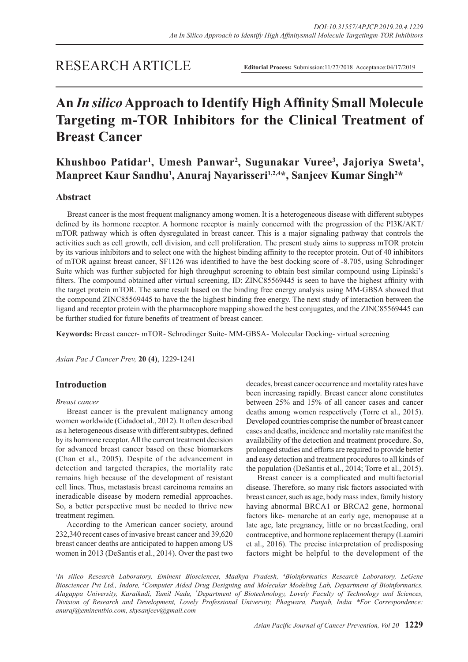# RESEARCH ARTICLE

**Editorial Process:** Submission:11/27/2018 Acceptance:04/17/2019

# **An** *In silico* **Approach to Identify High Affinity Small Molecule Targeting m-TOR Inhibitors for the Clinical Treatment of Breast Cancer**

**Khushboo Patidar1 , Umesh Panwar<sup>2</sup> , Sugunakar Vuree<sup>3</sup> , Jajoriya Sweta<sup>1</sup> , Manpreet Kaur Sandhu<sup>1</sup> , Anuraj Nayarisseri1,2,4\*, Sanjeev Kumar Singh<sup>2</sup> \***

# **Abstract**

Breast cancer is the most frequent malignancy among women. It is a heterogeneous disease with different subtypes defined by its hormone receptor. A hormone receptor is mainly concerned with the progression of the PI3K/AKT/ mTOR pathway which is often dysregulated in breast cancer. This is a major signaling pathway that controls the activities such as cell growth, cell division, and cell proliferation. The present study aims to suppress mTOR protein by its various inhibitors and to select one with the highest binding affinity to the receptor protein. Out of 40 inhibitors of mTOR against breast cancer, SF1126 was identified to have the best docking score of -8.705, using Schrodinger Suite which was further subjected for high throughput screening to obtain best similar compound using Lipinski's filters. The compound obtained after virtual screening, ID: ZINC85569445 is seen to have the highest affinity with the target protein mTOR. The same result based on the binding free energy analysis using MM-GBSA showed that the compound ZINC85569445 to have the the highest binding free energy. The next study of interaction between the ligand and receptor protein with the pharmacophore mapping showed the best conjugates, and the ZINC85569445 can be further studied for future benefits of treatment of breast cancer.

**Keywords:** Breast cancer- mTOR- Schrodinger Suite- MM-GBSA- Molecular Docking- virtual screening

*Asian Pac J Cancer Prev,* **20 (4)**, 1229-1241

# **Introduction**

#### *Breast cancer*

Breast cancer is the prevalent malignancy among women worldwide (Cidadoet al., 2012). It often described as a heterogeneous disease with different subtypes, defined by its hormone receptor. All the current treatment decision for advanced breast cancer based on these biomarkers (Chan et al., 2005). Despite of the advancement in detection and targeted therapies, the mortality rate remains high because of the development of resistant cell lines. Thus, metastasis breast carcinoma remains an ineradicable disease by modern remedial approaches. So, a better perspective must be needed to thrive new treatment regimen.

According to the American cancer society, around 232,340 recent cases of invasive breast cancer and 39,620 breast cancer deaths are anticipated to happen among US women in 2013 (DeSantis et al., 2014). Over the past two

decades, breast cancer occurrence and mortality rates have been increasing rapidly. Breast cancer alone constitutes between 25% and 15% of all cancer cases and cancer deaths among women respectively (Torre et al., 2015). Developed countries comprise the number of breast cancer cases and deaths, incidence and mortality rate manifest the availability of the detection and treatment procedure. So, prolonged studies and efforts are required to provide better and easy detection and treatment procedures to all kinds of the population (DeSantis et al., 2014; Torre et al., 2015).

Breast cancer is a complicated and multifactorial disease. Therefore, so many risk factors associated with breast cancer, such as age, body mass index, family history having abnormal BRCA1 or BRCA2 gene, hormonal factors like- menarche at an early age, menopause at a late age, late pregnancy, little or no breastfeeding, oral contraceptive, and hormone replacement therapy (Laamiri et al., 2016). The precise interpretation of predisposing factors might be helpful to the development of the

*1 In silico Research Laboratory, Eminent Biosciences, Madhya Pradesh, 4 Bioinformatics Research Laboratory, LeGene Biosciences Pvt Ltd., Indore, 2 Computer Aided Drug Designing and Molecular Modeling Lab, Department of Bioinformatics, Alagappa University, Karaikudi, Tamil Nadu, 3 Department of Biotechnology, Lovely Faculty of Technology and Sciences, Division of Research and Development, Lovely Professional University, Phagwara, Punjab, India. \*For Correspondence: anuraj@eminentbio.com, skysanjeev@gmail.com*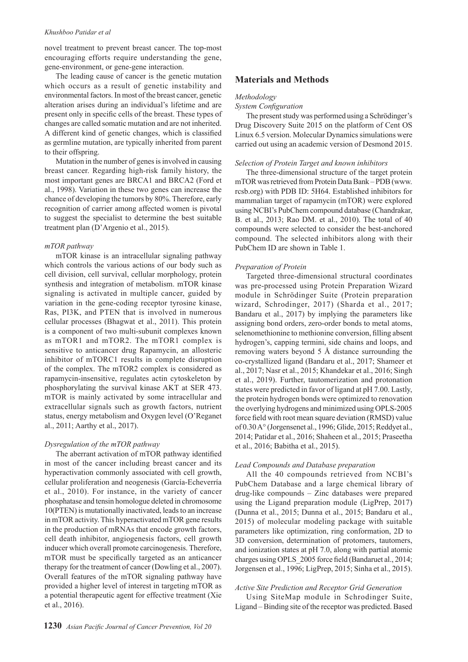novel treatment to prevent breast cancer. The top-most encouraging efforts require understanding the gene, gene-environment, or gene-gene interaction.

The leading cause of cancer is the genetic mutation which occurs as a result of genetic instability and environmental factors. In most of the breast cancer, genetic alteration arises during an individual's lifetime and are present only in specific cells of the breast. These types of changes are called somatic mutation and are not inherited. A different kind of genetic changes, which is classified as germline mutation, are typically inherited from parent to their offspring.

Mutation in the number of genes is involved in causing breast cancer. Regarding high-risk family history, the most important genes are BRCA1 and BRCA2 (Ford et al., 1998). Variation in these two genes can increase the chance of developing the tumors by 80%. Therefore, early recognition of carrier among affected women is pivotal to suggest the specialist to determine the best suitable treatment plan (D'Argenio et al., 2015).

#### *mTOR pathway*

mTOR kinase is an intracellular signaling pathway which controls the various actions of our body such as cell division, cell survival, cellular morphology, protein synthesis and integration of metabolism. mTOR kinase signaling is activated in multiple cancer, guided by variation in the gene-coding receptor tyrosine kinase, Ras, PI3K, and PTEN that is involved in numerous cellular processes (Bhagwat et al., 2011). This protein is a component of two multi-subunit complexes known as mTOR1 and mTOR2. The mTOR1 complex is sensitive to anticancer drug Rapamycin, an allosteric inhibitor of mTORC1 results in complete disruption of the complex. The mTOR2 complex is considered as rapamycin-insensitive, regulates actin cytoskeleton by phosphorylating the survival kinase AKT at SER 473. mTOR is mainly activated by some intracellular and extracellular signals such as growth factors, nutrient status, energy metabolism and Oxygen level (O'Reganet al., 2011; Aarthy et al., 2017).

#### *Dysregulation of the mTOR pathway*

The aberrant activation of mTOR pathway identified in most of the cancer including breast cancer and its hyperactivation commonly associated with cell growth, cellular proliferation and neogenesis (García-Echeverría et al., 2010). For instance, in the variety of cancer phosphatase and tensin homologue deleted in chromosome 10(PTEN) is mutationally inactivated, leads to an increase in mTOR activity. This hyperactivated mTOR gene results in the production of mRNAs that encode growth factors, cell death inhibitor, angiogenesis factors, cell growth inducer which overall promote carcinogenesis. Therefore, mTOR must be specifically targeted as an anticancer therapy for the treatment of cancer (Dowling et al., 2007). Overall features of the mTOR signaling pathway have provided a higher level of interest in targeting mTOR as a potential therapeutic agent for effective treatment (Xie et al., 2016).

# **Materials and Methods**

#### *Methodology*

#### *System Configuration*

The present study was performed using a Schrödinger's Drug Discovery Suite 2015 on the platform of Cent OS Linux 6.5 version. Molecular Dynamics simulations were carried out using an academic version of Desmond 2015.

#### *Selection of Protein Target and known inhibitors*

The three-dimensional structure of the target protein mTOR was retrieved from Protein Data Bank – PDB (www. rcsb.org) with PDB ID: 5H64. Established inhibitors for mammalian target of rapamycin (mTOR) were explored using NCBI's PubChem compound database (Chandrakar, B. et al., 2013; Rao DM. et al., 2010). The total of 40 compounds were selected to consider the best-anchored compound. The selected inhibitors along with their PubChem ID are shown in Table 1.

#### *Preparation of Protein*

Targeted three-dimensional structural coordinates was pre-processed using Protein Preparation Wizard module in Schrödinger Suite (Protein preparation wizard, Schrodinger, 2017) (Sharda et al., 2017; Bandaru et al., 2017) by implying the parameters like assigning bond orders, zero-order bonds to metal atoms, selenomethionine to methionine conversion, filling absent hydrogen's, capping termini, side chains and loops, and removing waters beyond 5 Å distance surrounding the co-crystallized ligand (Bandaru et al., 2017; Shameer et al., 2017; Nasr et al., 2015; Khandekar et al., 2016; Singh et al., 2019). Further, tautomerization and protonation states were predicted in favor of ligand at pH 7.00. Lastly, the protein hydrogen bonds were optimized to renovation the overlying hydrogens and minimized using OPLS-2005 force field with root mean square deviation (RMSD) value of 0.30 A° (Jorgensenet al., 1996; Glide, 2015; Reddyet al., 2014; Patidar et al., 2016; Shaheen et al., 2015; Praseetha et al., 2016; Babitha et al., 2015).

#### *Lead Compounds and Database preparation*

All the 40 compounds retrieved from NCBI's PubChem Database and a large chemical library of drug-like compounds – Zinc databases were prepared using the Ligand preparation module (LigPrep, 2017) (Dunna et al., 2015; Dunna et al., 2015; Bandaru et al., 2015) of molecular modeling package with suitable parameters like optimization, ring conformation, 2D to 3D conversion, determination of protomers, tautomers, and ionization states at pH 7.0, along with partial atomic charges using OPLS\_2005 force field (Bandaruet al., 2014; Jorgensen et al., 1996; LigPrep, 2015; Sinha et al., 2015).

## *Active Site Prediction and Receptor Grid Generation*

Using SiteMap module in Schrodinger Suite, Ligand – Binding site of the receptor was predicted. Based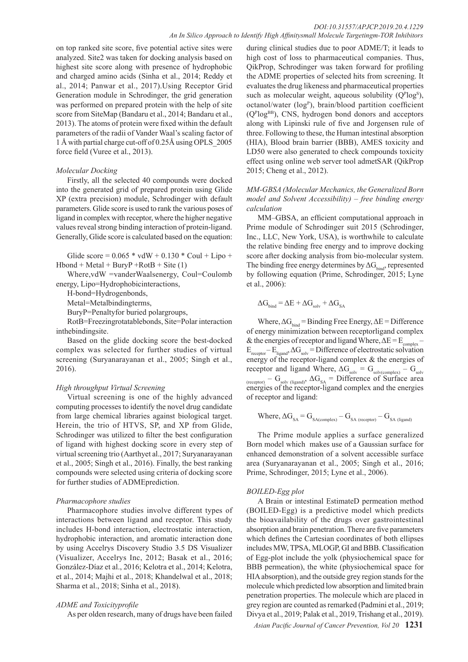on top ranked site score, five potential active sites were analyzed. Site2 was taken for docking analysis based on highest site score along with presence of hydrophobic and charged amino acids (Sinha et al., 2014; Reddy et al., 2014; Panwar et al., 2017).Using Receptor Grid Generation module in Schrodinger, the grid generation was performed on prepared protein with the help of site score from SiteMap (Bandaru et al., 2014; Bandaru et al., 2013). The atoms of protein were fixed within the default parameters of the radii of Vander Waal's scaling factor of 1 Å with partial charge cut-off of 0.25Å using OPLS\_2005 force field (Vuree et al., 2013).

# *Molecular Docking*

Firstly, all the selected 40 compounds were docked into the generated grid of prepared protein using Glide XP (extra precision) module, Schrodinger with default parameters. Glide score is used to rank the various poses of ligand in complex with receptor, where the higher negative values reveal strong binding interaction of protein-ligand. Generally, Glide score is calculated based on the equation:

Glide score =  $0.065 * v dW + 0.130 * Coul + Lipo +$  $Hbond + Metal + BuryP + RotB + Site (1)$ 

Where,vdW =vanderWaalsenergy, Coul=Coulomb energy, Lipo=Hydrophobicinteractions,

H-bond=Hydrogenbonds,

Metal=Metalbindingterms,

BuryP=Penaltyfor buried polargroups,

RotB=Freezingrotatablebonds, Site=Polar interaction inthebindingsite.

Based on the glide docking score the best-docked complex was selected for further studies of virtual screening (Suryanarayanan et al., 2005; Singh et al., 2016).

# *High throughput Virtual Screening*

Virtual screening is one of the highly advanced computing processes to identify the novel drug candidate from large chemical libraries against biological target. Herein, the trio of HTVS, SP, and XP from Glide, Schrodinger was utilized to filter the best configuration of ligand with highest docking score in every step of virtual screening trio (Aarthyet al., 2017; Suryanarayanan et al., 2005; Singh et al., 2016). Finally, the best ranking compounds were selected using criteria of docking score for further studies of ADMEprediction.

# *Pharmacophore studies*

Pharmacophore studies involve different types of interactions between ligand and receptor. This study includes H-bond interaction, electrostatic interaction, hydrophobic interaction, and aromatic interaction done by using Accelrys Discovery Studio 3.5 DS Visualizer (Visualizer, Accelrys Inc, 2012; Basak et al., 2016; González-Díaz et al., 2016; Kelotra et al., 2014; Kelotra, et al., 2014; Majhi et al., 2018; Khandelwal et al., 2018; Sharma et al., 2018; Sinha et al., 2018).

# *ADME and Toxicityprofile*

As per olden research, many of drugs have been failed

during clinical studies due to poor ADME/T; it leads to high cost of loss to pharmaceutical companies. Thus, QikProp, Schrodinger was taken forward for profiling the ADME properties of selected hits from screening. It evaluates the drug likeness and pharmaceutical properties such as molecular weight, aqueous solubility  $(Q<sup>p</sup> log<sup>s</sup>)$ , octanol/water  $(log<sup>P</sup>)$ , brain/blood partition coefficient (Q<sup>P</sup> logBB), CNS, hydrogen bond donors and acceptors along with Lipinski rule of five and Jorgensen rule of three. Following to these, the Human intestinal absorption (HIA), Blood brain barrier (BBB), AMES toxicity and LD50 were also generated to check compounds toxicity effect using online web server tool admetSAR (QikProp 2015; Cheng et al., 2012).

*MM-GBSA (Molecular Mechanics, the Generalized Born model and Solvent Accessibility) – free binding energy calculation*

MM–GBSA, an efficient computational approach in Prime module of Schrodinger suit 2015 (Schrodinger, Inc., LLC, New York, USA), is worthwhile to calculate the relative binding free energy and to improve docking score after docking analysis from bio-molecular system. The binding free energy determines by  $\Delta G_{\text{bind}}$ , represented by following equation (Prime, Schrodinger, 2015; Lyne et al., 2006):

$$
\Delta G_{\text{bind}} = \Delta E + \Delta G_{\text{solv}} + \Delta G_{\text{SA}}
$$

Where,  $\Delta G_{bind}$  = Binding Free Energy,  $\Delta E$  = Difference of energy minimization between receptorligand complex & the energies of receptor and ligand Where,  $\Delta E = E_{\text{complex}} E_{\text{receptor}} - E_{\text{ligand}} \Delta G_{\text{solv}} = \text{Difference of electrostatic solution}$ energy of the receptor-ligand complex  $\&$  the energies of receptor and ligand Where,  $\Delta G_{\text{solv}} = G_{\text{solv}(\text{complex})} - G_{\text{solv}}$  $_{(receptor)} - G_{solv (ligand)}$ ,  $\Delta G_{SA} =$  Difference of Surface area energies of the receptor-ligand complex and the energies of receptor and ligand:

Where, 
$$
\Delta G_{SA} = G_{SA(complex)} - G_{SA(receptor)} - G_{SA (ligand)}
$$

The Prime module applies a surface generalized Born model which makes use of a Gaussian surface for enhanced demonstration of a solvent accessible surface area (Suryanarayanan et al., 2005; Singh et al., 2016; Prime, Schrodinger, 2015; Lyne et al., 2006).

# *BOILED-Egg plot*

A Brain or intestinal EstimateD permeation method (BOILED-Egg) is a predictive model which predicts the bioavailability of the drugs over gastrointestinal absorption and brain penetration. There are five parameters which defines the Cartesian coordinates of both ellipses includes MW, TPSA, MLOGP, GI and BBB. Classification of Egg-plot include the yolk (physiochemical space for BBB permeation), the white (physiochemical space for HIA absorption), and the outside grey region stands for the molecule which predicted low absorption and limited brain penetration properties. The molecule which are placed in grey region are counted as remarked (Padmini et al., 2019; Divya et al., 2019; Palak et al., 2019, Trishang et al., 2019).

*Asian Pacific Journal of Cancer Prevention, Vol 20* **1231**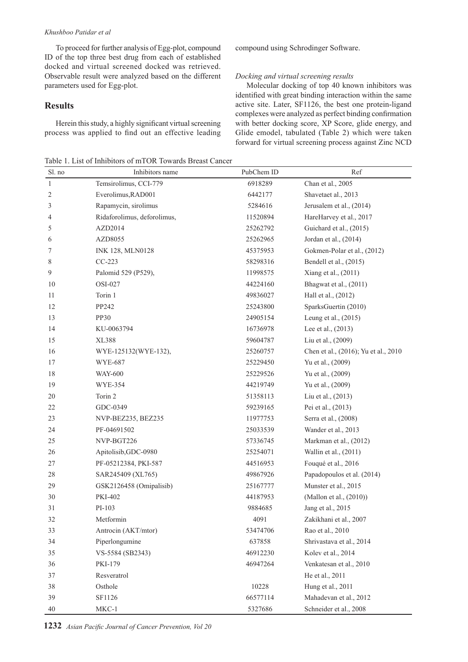To proceed for further analysis of Egg-plot, compound ID of the top three best drug from each of established docked and virtual screened docked was retrieved. Observable result were analyzed based on the different parameters used for Egg-plot.

# **Results**

Herein this study, a highly significant virtual screening process was applied to find out an effective leading

Table 1. List of Inhibitors of mTOR Towards Breast Cancer

compound using Schrodinger Software.

#### *Docking and virtual screening results*

Molecular docking of top 40 known inhibitors was identified with great binding interaction within the same active site. Later, SF1126, the best one protein-ligand complexes were analyzed as perfect binding confirmation with better docking score, XP Score, glide energy, and Glide emodel, tabulated (Table 2) which were taken forward for virtual screening process against Zinc NCD

| Sl. no       | Inhibitors name             | PubChem ID | Ref                                  |
|--------------|-----------------------------|------------|--------------------------------------|
| $\mathbf{1}$ | Temsirolimus, CCI-779       | 6918289    | Chan et al., 2005                    |
| 2            | Everolimus, RAD001          | 6442177    | Shavetaet al., 2013                  |
| 3            | Rapamycin, sirolimus        | 5284616    | Jerusalem et al., (2014)             |
| 4            | Ridaforolimus, deforolimus, | 11520894   | HareHarvey et al., 2017              |
| 5            | AZD2014                     | 25262792   | Guichard et al., (2015)              |
| 6            | AZD8055                     | 25262965   | Jordan et al., (2014)                |
| 7            | <b>INK 128, MLN0128</b>     | 45375953   | Gokmen-Polar et al., (2012)          |
| 8            | $CC-223$                    | 58298316   | Bendell et al., (2015)               |
| 9            | Palomid 529 (P529),         | 11998575   | Xiang et al., (2011)                 |
| 10           | OSI-027                     | 44224160   | Bhagwat et al., (2011)               |
| 11           | Torin 1                     | 49836027   | Hall et al., (2012)                  |
| 12           | PP242                       | 25243800   | SparksGuertin (2010)                 |
| 13           | <b>PP30</b>                 | 24905154   | Leung et al., (2015)                 |
| 14           | KU-0063794                  | 16736978   | Lee et al., (2013)                   |
| 15           | XL388                       | 59604787   | Liu et al., (2009)                   |
| 16           | WYE-125132(WYE-132),        | 25260757   | Chen et al., (2016); Yu et al., 2010 |
| 17           | <b>WYE-687</b>              | 25229450   | Yu et al., (2009)                    |
| 18           | <b>WAY-600</b>              | 25229526   | Yu et al., (2009)                    |
| 19           | WYE-354                     | 44219749   | Yu et al., (2009)                    |
| 20           | Torin 2                     | 51358113   | Liu et al., (2013)                   |
| 22           | GDC-0349                    | 59239165   | Pei et al., (2013)                   |
| 23           | NVP-BEZ235, BEZ235          | 11977753   | Serra et al., (2008)                 |
| 24           | PF-04691502                 | 25033539   | Wander et al., 2013                  |
| 25           | NVP-BGT226                  | 57336745   | Markman et al., (2012)               |
| 26           | Apitolisib, GDC-0980        | 25254071   | Wallin et al., (2011)                |
| 27           | PF-05212384, PKI-587        | 44516953   | Fouqué et al., 2016                  |
| 28           | SAR245409 (XL765)           | 49867926   | Papadopoulos et al. (2014)           |
| 29           | GSK2126458 (Omipalisib)     | 25167777   | Munster et al., 2015                 |
| 30           | <b>PKI-402</b>              | 44187953   | (Mallon et al., (2010))              |
| 31           | PI-103                      | 9884685    | Jang et al., 2015                    |
| 32           | Metformin                   | 4091       | Zakikhani et al., 2007               |
| 33           | Antrocin (AKT/mtor)         | 53474706   | Rao et al., 2010                     |
| 34           | Piperlongumine              | 637858     | Shrivastava et al., 2014             |
| 35           | VS-5584 (SB2343)            | 46912230   | Kolev et al., 2014                   |
| 36           | PKI-179                     | 46947264   | Venkatesan et al., 2010              |
| 37           | Resveratrol                 |            | He et al., 2011                      |
| 38           | Osthole                     | 10228      | Hung et al., 2011                    |
| 39           | SF1126                      | 66577114   | Mahadevan et al., 2012               |
| 40           | $MKC-1$                     | 5327686    | Schneider et al., 2008               |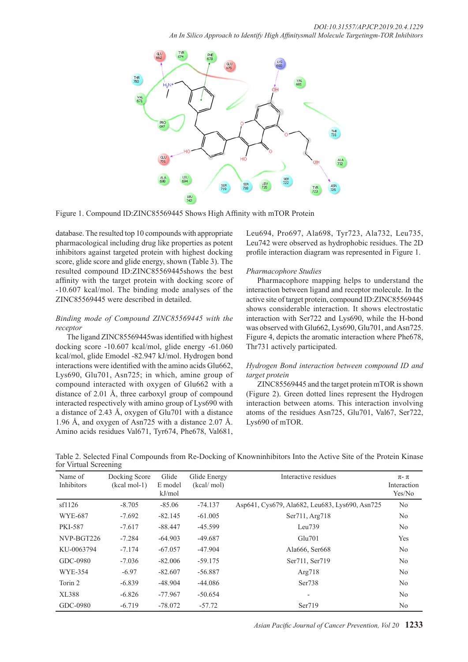

Figure 1. Compound ID:ZINC85569445 Shows High Affinity with mTOR Protein

database. The resulted top 10 compounds with appropriate pharmacological including drug like properties as potent inhibitors against targeted protein with highest docking score, glide score and glide energy, shown (Table 3). The resulted compound ID:ZINC85569445shows the best affinity with the target protein with docking score of -10.607 kcal/mol. The binding mode analyses of the ZINC85569445 were described in detailed.

# *Binding mode of Compound ZINC85569445 with the receptor*

The ligand ZINC85569445was identified with highest docking score -10.607 kcal/mol, glide energy -61.060 kcal/mol, glide Emodel -82.947 kJ/mol. Hydrogen bond interactions were identified with the amino acids Glu662, Lys690, Glu701, Asn725; in which, amine group of compound interacted with oxygen of Glu662 with a distance of 2.01 Å, three carboxyl group of compound interacted respectively with amino group of Lys690 with a distance of 2.43 Å, oxygen of Glu701 with a distance 1.96 Å, and oxygen of Asn725 with a distance 2.07 Å. Amino acids residues Val671, Tyr674, Phe678, Val681, Leu694, Pro697, Ala698, Tyr723, Ala732, Leu735, Leu742 were observed as hydrophobic residues. The 2D profile interaction diagram was represented in Figure 1.

# *Pharmacophore Studies*

Pharmacophore mapping helps to understand the interaction between ligand and receptor molecule. In the active site of target protein, compound ID:ZINC85569445 shows considerable interaction. It shows electrostatic interaction with Ser722 and Lys690, while the H-bond was observed with Glu662, Lys690, Glu701, and Asn725. Figure 4, depicts the aromatic interaction where Phe678, Thr731 actively participated.

# *Hydrogen Bond interaction between compound ID and target protein*

ZINC85569445 and the target protein mTOR is shown (Figure 2). Green dotted lines represent the Hydrogen interaction between atoms. This interaction involving atoms of the residues Asn725, Glu701, Val67, Ser722, Lys690 of mTOR.

| Name of<br>Inhibitors | Docking Score<br>$(kcal mol-1)$ | Glide<br>E model<br>kJ/mol | Glide Energy<br>(kcal/mol) | Interactive residues                           | $\pi$ - $\pi$<br>Interaction<br>Yes/No |
|-----------------------|---------------------------------|----------------------------|----------------------------|------------------------------------------------|----------------------------------------|
| sf1126                | $-8.705$                        | $-85.06$                   | $-74.137$                  | Asp641, Cys679, Ala682, Leu683, Lys690, Asn725 | N <sub>0</sub>                         |
| <b>WYE-687</b>        | $-7.692$                        | $-82.145$                  | $-61.005$                  | Ser711, Arg718                                 | N <sub>0</sub>                         |
| <b>PKI-587</b>        | $-7.617$                        | $-88.447$                  | $-45.599$                  | Leu739                                         | No                                     |
| NVP-BGT226            | $-7.284$                        | $-64.903$                  | $-49.687$                  | Glu701                                         | Yes                                    |
| KU-0063794            | $-7.174$                        | $-67.057$                  | $-47.904$                  | Ala666, Ser668                                 | No                                     |
| GDC-0980              | $-7.036$                        | $-82.006$                  | $-59.175$                  | Ser711, Ser719                                 | N <sub>0</sub>                         |
| <b>WYE-354</b>        | $-6.97$                         | $-82.607$                  | $-56.887$                  | Arg718                                         | No                                     |
| Torin 2               | $-6.839$                        | $-48.904$                  | $-44.086$                  | Ser738                                         | No                                     |
| XL388                 | $-6.826$                        | $-77.967$                  | $-50.654$                  | $\overline{\phantom{a}}$                       | No                                     |
| GDC-0980              | $-6.719$                        | $-78.072$                  | $-57.72$                   | Ser719                                         | N <sub>0</sub>                         |

Table 2. Selected Final Compounds from Re-Docking of Knowninhibitors Into the Active Site of the Protein Kinase for Virtual Screening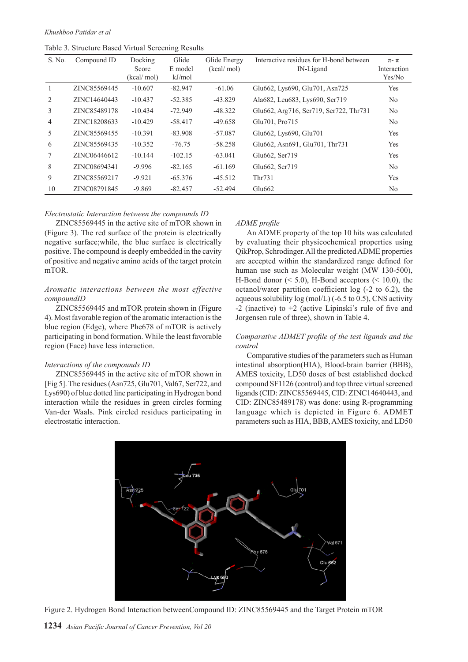Table 3. Structure Based Virtual Screening Results

| S. No.         | Compound ID  | Docking<br>Score<br>(kcal/mol) | Glide<br>E model<br>kJ/mol | Glide Energy<br>(kcal/mol) | Interactive residues for H-bond between<br>IN-Ligand | $\pi$ - $\pi$<br>Interaction<br>Yes/No |
|----------------|--------------|--------------------------------|----------------------------|----------------------------|------------------------------------------------------|----------------------------------------|
|                | ZINC85569445 | $-10.607$                      | $-82.947$                  | $-61.06$                   | Glu662, Lys690, Glu701, Asn725                       | <b>Yes</b>                             |
| 2              | ZINC14640443 | $-10.437$                      | $-52.385$                  | $-43.829$                  | Ala682, Leu683, Lys690, Ser719                       | N <sub>0</sub>                         |
| 3              | ZINC85489178 | $-10.434$                      | $-72.949$                  | $-48.322$                  | Glu662, Arg716, Ser719, Ser722, Thr731               | N <sub>0</sub>                         |
| $\overline{4}$ | ZINC18208633 | $-10.429$                      | $-58.417$                  | $-49.658$                  | Glu701, Pro715                                       | N <sub>0</sub>                         |
| 5              | ZINC85569455 | $-10.391$                      | $-83.908$                  | $-57.087$                  | Glu662, Lys690, Glu701                               | <b>Yes</b>                             |
| 6              | ZINC85569435 | $-10.352$                      | $-76.75$                   | $-58.258$                  | Glu662, Asn691, Glu701, Thr731                       | <b>Yes</b>                             |
|                | ZINC06446612 | $-10.144$                      | $-102.15$                  | $-63.041$                  | Glu662, Ser719                                       | Yes                                    |
| 8              | ZINC08694341 | $-9.996$                       | $-82.165$                  | $-61.169$                  | Glu662, Ser719                                       | N <sub>0</sub>                         |
| 9              | ZINC85569217 | $-9.921$                       | $-65.376$                  | $-45.512$                  | Thr731                                               | Yes                                    |
| 10             | ZINC08791845 | $-9.869$                       | $-82.457$                  | $-52.494$                  | Glu662                                               | N <sub>0</sub>                         |

#### *Electrostatic Interaction between the compounds ID*

ZINC85569445 in the active site of mTOR shown in (Figure 3). The red surface of the protein is electrically negative surface;while, the blue surface is electrically positive. The compound is deeply embedded in the cavity of positive and negative amino acids of the target protein mTOR.

#### *Aromatic interactions between the most effective compoundID*

ZINC85569445 and mTOR protein shown in (Figure 4). Most favorable region of the aromatic interaction is the blue region (Edge), where Phe678 of mTOR is actively participating in bond formation. While the least favorable region (Face) have less interaction.

#### *Interactions of the compounds ID*

ZINC85569445 in the active site of mTOR shown in [Fig 5]. The residues (Asn725, Glu701, Val67, Ser722, and Lys690) of blue dotted line participating in Hydrogen bond interaction while the residues in green circles forming Van-der Waals. Pink circled residues participating in electrostatic interaction.

### *ADME profile*

An ADME property of the top 10 hits was calculated by evaluating their physicochemical properties using QikProp, Schrodinger. All the predicted ADME properties are accepted within the standardized range defined for human use such as Molecular weight (MW 130-500), H-Bond donor  $(< 5.0)$ , H-Bond acceptors  $(< 10.0)$ , the octanol/water partition coefficient log (-2 to 6.2), the aqueous solubility  $log (mol/L)$  (-6.5 to 0.5), CNS activity  $-2$  (inactive) to  $+2$  (active Lipinski's rule of five and Jorgensen rule of three), shown in Table 4.

#### *Comparative ADMET profile of the test ligands and the control*

Comparative studies of the parameters such as Human intestinal absorption(HIA), Blood-brain barrier (BBB), AMES toxicity, LD50 doses of best established docked compound SF1126 (control) and top three virtual screened ligands (CID: ZINC85569445, CID: ZINC14640443, and CID: ZINC85489178) was done: using R-programming language which is depicted in Figure 6. ADMET parameters such as HIA, BBB, AMES toxicity, and LD50



Figure 2. Hydrogen Bond Interaction betweenCompound ID: ZINC85569445 and the Target Protein mTOR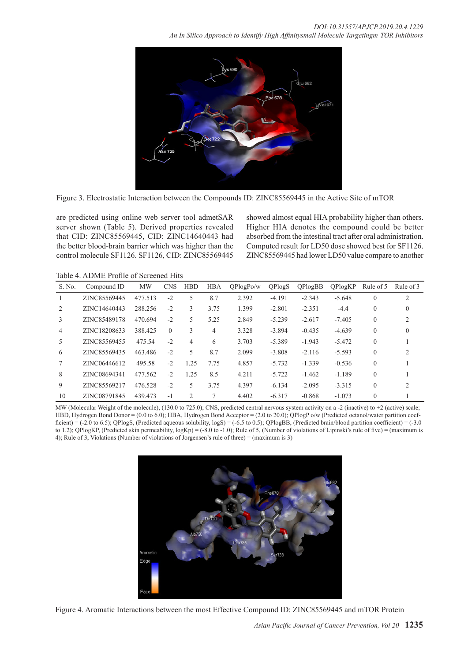

Figure 3. Electrostatic Interaction between the Compounds ID: ZINC85569445 in the Active Site of mTOR

are predicted using online web server tool admetSAR server shown (Table 5). Derived properties revealed that CID: ZINC85569445, CID: ZINC14640443 had the better blood-brain barrier which was higher than the control molecule SF1126. SF1126, CID: ZINC85569445 showed almost equal HIA probability higher than others. Higher HIA denotes the compound could be better absorbed from the intestinal tract after oral administration. Computed result for LD50 dose showed best for SF1126. ZINC85569445 had lower LD50 value compare to another

Table 4. ADME Profile of Screened Hits

| S. No. | Compound ID  | <b>MW</b> | <b>CNS</b> | <b>HBD</b>     | <b>HBA</b> | OPlogPo/w | <b>QPlogS</b> | OPlogBB  | OPlogKP  | Rule of 5 | Rule of 3 |
|--------|--------------|-----------|------------|----------------|------------|-----------|---------------|----------|----------|-----------|-----------|
|        | ZINC85569445 | 477.513   | $-2$       | 5              | 8.7        | 2.392     | $-4.191$      | $-2.343$ | $-5.648$ | $\Omega$  | 2         |
| 2      | ZINC14640443 | 288.256   | $-2$       | 3              | 3.75       | 1.399     | $-2.801$      | $-2.351$ | $-4.4$   | $\theta$  | $\Omega$  |
| 3      | ZINC85489178 | 470.694   | $-2$       | 5              | 5.25       | 2.849     | $-5.239$      | $-2.617$ | $-7.405$ | $\Omega$  | 2         |
| 4      | ZINC18208633 | 388.425   | $\theta$   | 3              | 4          | 3.328     | $-3.894$      | $-0.435$ | $-4.639$ | $\Omega$  | $\theta$  |
| 5      | ZINC85569455 | 475.54    | $-2$       | 4              | 6          | 3.703     | $-5.389$      | $-1.943$ | $-5.472$ | $\Omega$  |           |
| 6      | ZINC85569435 | 463.486   | $-2$       | 5              | 8.7        | 2.099     | $-3.808$      | $-2.116$ | $-5.593$ | $\Omega$  | 2         |
|        | ZINC06446612 | 495.58    | $-2$       | 1.25           | 7.75       | 4.857     | $-5.732$      | $-1.339$ | $-0.536$ | $\Omega$  |           |
| 8      | ZINC08694341 | 477.562   | $-2$       | 1.25           | 8.5        | 4.211     | $-5.722$      | $-1.462$ | $-1.189$ | $\Omega$  |           |
| 9      | ZINC85569217 | 476.528   | $-2$       | 5              | 3.75       | 4.397     | $-6.134$      | $-2.095$ | $-3.315$ | $\Omega$  | 2         |
| 10     | ZINC08791845 | 439.473   | $-1$       | $\overline{c}$ | 7          | 4.402     | $-6.317$      | $-0.868$ | $-1.073$ | $\Omega$  |           |

MW (Molecular Weight of the molecule), (130.0 to 725.0); CNS, predicted central nervous system activity on a -2 (inactive) to +2 (active) scale; HBD, Hydrogen Bond Donor = (0.0 to 6.0); HBA, Hydrogen Bond Acceptor = (2.0 to 20.0); QPlogP o/w (Predicted octanol/water partition coefficient) = (-2.0 to 6.5); QPlogS, (Predicted aqueous solubility, logS) = (-6.5 to 0.5); QPlogBB, (Predicted brain/blood partition coefficient) = (-3.0 to 1.2); QPlogKP, (Predicted skin permeability,  $log Kp$ ) = (-8.0 to -1.0); Rule of 5, (Number of violations of Lipinski's rule of five) = (maximum is 4); Rule of 3, Violations (Number of violations of Jorgensen's rule of three) = (maximum is 3)



Figure 4. Aromatic Interactions between the most Effective Compound ID: ZINC85569445 and mTOR Protein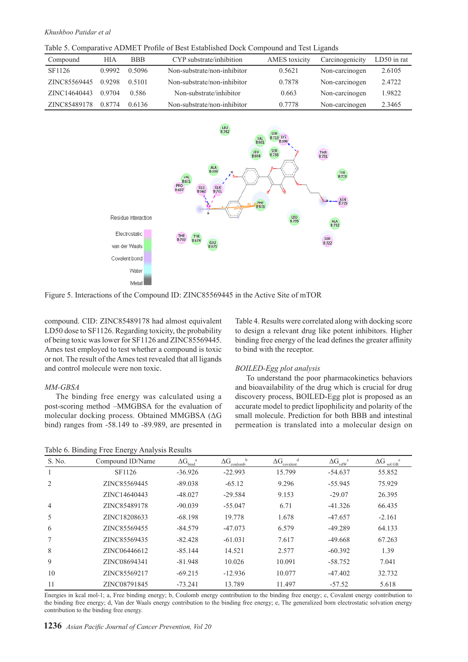Table 5. Comparative ADMET Profile of Best Established Dock Compound and Test Ligands

| Compound     | <b>HIA</b> | <b>BBB</b> | CYP substrate/inhibition    | AMES toxicity | Carcinogenicity | $LD50$ in rat |
|--------------|------------|------------|-----------------------------|---------------|-----------------|---------------|
| SF1126       | 0.9992     | 0.5096     | Non-substrate/non-inhibitor | 0.5621        | Non-carcinogen  | 2.6105        |
| ZINC85569445 | 0.9298     | 0.5101     | Non-substrate/non-inhibitor | 0.7878        | Non-carcinogen  | 2.4722        |
| ZINC14640443 | 0.9704     | 0.586      | Non-substrate/inhibitor     | 0.663         | Non-carcinogen  | 1.9822        |
| ZINC85489178 | 0.8774     | 0.6136     | Non-substrate/non-inhibitor | 0.7778        | Non-carcinogen  | 2.3465        |



Figure 5. Interactions of the Compound ID: ZINC85569445 in the Active Site of mTOR

compound. CID: ZINC85489178 had almost equivalent LD50 dose to SF1126. Regarding toxicity, the probability of being toxic was lower for SF1126 and ZINC85569445. Ames test employed to test whether a compound is toxic or not. The result of the Ames test revealed that all ligands and control molecule were non toxic.

#### *MM-GBSA*

The binding free energy was calculated using a post-scoring method –MMGBSA for the evaluation of molecular docking process. Obtained MMGBSA (ΔG bind) ranges from -58.149 to -89.989, are presented in

Table 6. Binding Free Energy Analysis Results

Table 4. Results were correlated along with docking score to design a relevant drug like potent inhibitors. Higher binding free energy of the lead defines the greater affinity to bind with the receptor.

#### *BOILED-Egg plot analysis*

To understand the poor pharmacokinetics behaviors and bioavailability of the drug which is crucial for drug discovery process, BOILED-Egg plot is proposed as an accurate model to predict lipophilicity and polarity of the small molecule. Prediction for both BBB and intestinal permeation is translated into a molecular design on

| S. No. | Compound ID/Name | $\Delta G_{\rm bind}^{\quad \  a}$ | $\Delta G$<br>b<br>coulomb | $\Delta G$<br>covalent | $\Delta G_{vdW}^{\quad c}$ | $\Delta G$<br>sol GB |
|--------|------------------|------------------------------------|----------------------------|------------------------|----------------------------|----------------------|
|        | SF1126           | $-36.926$                          | $-22.993$                  | 15.799                 | $-54.637$                  | 55.852               |
|        | ZINC85569445     | $-89.038$                          | $-65.12$                   | 9.296                  | $-55.945$                  | 75.929               |
|        | ZINC14640443     | $-48.027$                          | $-29.584$                  | 9.153                  | $-29.07$                   | 26.395               |
| 4      | ZINC85489178     | $-90.039$                          | $-55.047$                  | 6.71                   | $-41.326$                  | 66.435               |
| 5      | ZINC18208633     | $-68.198$                          | 19.778                     | 1.678                  | $-47.657$                  | $-2.161$             |
| 6      | ZINC85569455     | $-84.579$                          | $-47.073$                  | 6.579                  | $-49.289$                  | 64.133               |
|        | ZINC85569435     | $-82.428$                          | $-61.031$                  | 7.617                  | $-49.668$                  | 67.263               |
| 8      | ZINC06446612     | $-85.144$                          | 14.521                     | 2.577                  | $-60.392$                  | 1.39                 |
| 9      | ZINC08694341     | $-81.948$                          | 10.026                     | 10.091                 | $-58.752$                  | 7.041                |
| 10     | ZINC85569217     | $-69.215$                          | $-12.936$                  | 10.077                 | $-47.402$                  | 32.732               |
| 11     | ZINC08791845     | $-73.241$                          | 13.789                     | 11.497                 | $-57.52$                   | 5.618                |

Energies in kcal mol-1; a, Free binding energy; b, Coulomb energy contribution to the binding free energy; c, Covalent energy contribution to the binding free energy; d, Van der Waals energy contribution to the binding free energy; e, The generalized born electrostatic solvation energy contribution to the binding free energy.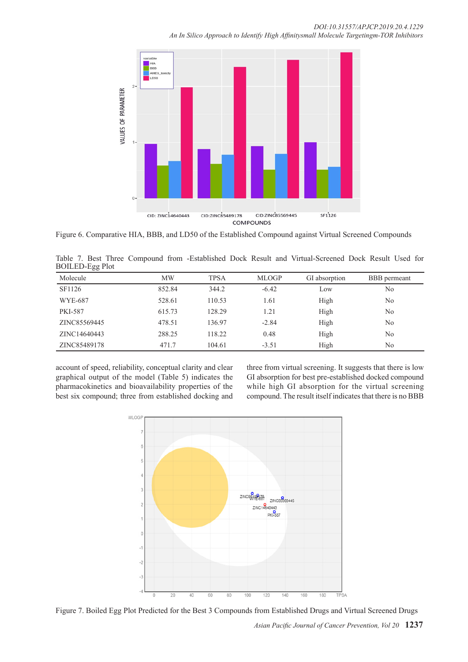

Figure 6. Comparative HIA, BBB, and LD50 of the Established Compound against Virtual Screened Compounds

|                        |  |  |  |  | Table 7. Best Three Compound from -Established Dock Result and Virtual-Screened Dock Result Used for |  |  |
|------------------------|--|--|--|--|------------------------------------------------------------------------------------------------------|--|--|
| <b>BOILED-Egg Plot</b> |  |  |  |  |                                                                                                      |  |  |

| Molecule       | <b>MW</b> | <b>TPSA</b> | <b>MLOGP</b> | GI absorption | BBB permeant   |
|----------------|-----------|-------------|--------------|---------------|----------------|
| SF1126         | 852.84    | 344.2       | $-6.42$      | Low           | No             |
| <b>WYE-687</b> | 528.61    | 110.53      | 1.61         | High          | No             |
| <b>PKI-587</b> | 615.73    | 128.29      | 1.21         | High          | No             |
| ZINC85569445   | 478.51    | 136.97      | $-2.84$      | High          | No             |
| ZINC14640443   | 288.25    | 118.22      | 0.48         | High          | No             |
| ZINC85489178   | 471.7     | 104.61      | $-3.51$      | High          | N <sub>0</sub> |

account of speed, reliability, conceptual clarity and clear graphical output of the model (Table 5) indicates the pharmacokinetics and bioavailability properties of the best six compound; three from established docking and

three from virtual screening. It suggests that there is low GI absorption for best pre-established docked compound while high GI absorption for the virtual screening compound. The result itself indicates that there is no BBB



Figure 7. Boiled Egg Plot Predicted for the Best 3 Compounds from Established Drugs and Virtual Screened Drugs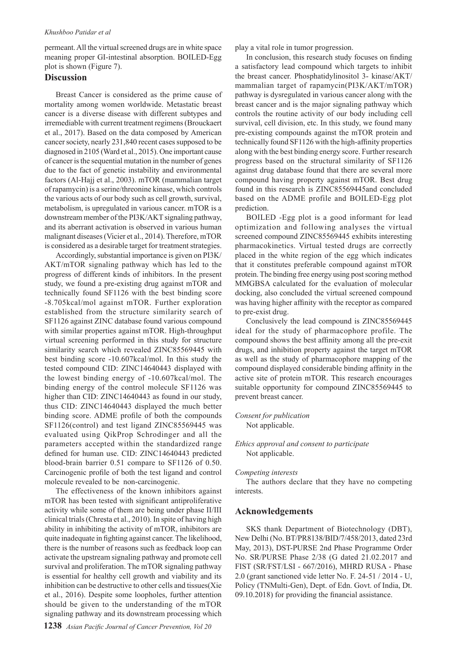permeant. All the virtual screened drugs are in white space meaning proper GI-intestinal absorption. BOILED-Egg plot is shown (Figure 7).

# **Discussion**

Breast Cancer is considered as the prime cause of mortality among women worldwide. Metastatic breast cancer is a diverse disease with different subtypes and irremediable with current treatment regimens (Brouckaert et al., 2017). Based on the data composed by American cancer society, nearly 231,840 recent cases supposed to be diagnosed in 2105 (Ward et al., 2015). One important cause of cancer is the sequential mutation in the number of genes due to the fact of genetic instability and environmental factors (Al-Hajj et al., 2003). mTOR (mammalian target of rapamycin) is a serine/threonine kinase, which controls the various acts of our body such as cell growth, survival, metabolism, is upregulated in various cancer. mTOR is a downstream member of the PI3K/AKT signaling pathway, and its aberrant activation is observed in various human malignant diseases (Vicier et al., 2014). Therefore, mTOR is considered as a desirable target for treatment strategies.

Accordingly, substantial importance is given on PI3K/ AKT/mTOR signaling pathway which has led to the progress of different kinds of inhibitors. In the present study, we found a pre-existing drug against mTOR and technically found SF1126 with the best binding score -8.705kcal/mol against mTOR. Further exploration established from the structure similarity search of SF1126 against ZINC database found various compound with similar properties against mTOR. High-throughput virtual screening performed in this study for structure similarity search which revealed ZINC85569445 with best binding score -10.607kcal/mol. In this study the tested compound CID: ZINC14640443 displayed with the lowest binding energy of -10.607kcal/mol. The binding energy of the control molecule SF1126 was higher than CID: ZINC14640443 as found in our study, thus CID: ZINC14640443 displayed the much better binding score. ADME profile of both the compounds SF1126(control) and test ligand ZINC85569445 was evaluated using QikProp Schrodinger and all the parameters accepted within the standardized range defined for human use. CID: ZINC14640443 predicted blood-brain barrier 0.51 compare to SF1126 of 0.50. Carcinogenic profile of both the test ligand and control molecule revealed to be non-carcinogenic.

The effectiveness of the known inhibitors against mTOR has been tested with significant antiproliferative activity while some of them are being under phase II/III clinical trials (Chresta et al., 2010). In spite of having high ability in inhibiting the activity of mTOR, inhibitors are quite inadequate in fighting against cancer. The likelihood, there is the number of reasons such as feedback loop can activate the upstream signaling pathway and promote cell survival and proliferation. The mTOR signaling pathway is essential for healthy cell growth and viability and its inhibition can be destructive to other cells and tissues(Xie et al., 2016). Despite some loopholes, further attention should be given to the understanding of the mTOR signaling pathway and its downstream processing which

play a vital role in tumor progression.

In conclusion, this research study focuses on finding a satisfactory lead compound which targets to inhibit the breast cancer. Phosphatidylinositol 3- kinase/AKT/ mammalian target of rapamycin(PI3K/AKT/mTOR) pathway is dysregulated in various cancer along with the breast cancer and is the major signaling pathway which controls the routine activity of our body including cell survival, cell division, etc. In this study, we found many pre-existing compounds against the mTOR protein and technically found SF1126 with the high-affinity properties along with the best binding energy score. Further research progress based on the structural similarity of SF1126 against drug database found that there are several more compound having property against mTOR. Best drug found in this research is ZINC85569445and concluded based on the ADME profile and BOILED-Egg plot prediction.

BOILED -Egg plot is a good informant for lead optimization and following analyses the virtual screened compound ZINC85569445 exhibits interesting pharmacokinetics. Virtual tested drugs are correctly placed in the white region of the egg which indicates that it constitutes preferable compound against mTOR protein. The binding free energy using post scoring method MMGBSA calculated for the evaluation of molecular docking, also concluded the virtual screened compound was having higher affinity with the receptor as compared to pre-exist drug.

Conclusively the lead compound is ZINC85569445 ideal for the study of pharmacophore profile. The compound shows the best affinity among all the pre-exit drugs, and inhibition property against the target mTOR as well as the study of pharmacophore mapping of the compound displayed considerable binding affinity in the active site of protein mTOR. This research encourages suitable opportunity for compound ZINC85569445 to prevent breast cancer.

# *Consent for publication*

Not applicable.

## *Ethics approval and consent to participate* Not applicable.

#### *Competing interests*

The authors declare that they have no competing interests.

#### **Acknowledgements**

SKS thank Department of Biotechnology (DBT), New Delhi (No. BT/PR8138/BID/7/458/2013, dated 23rd May, 2013), DST-PURSE 2nd Phase Programme Order No. SR/PURSE Phase 2/38 (G dated 21.02.2017 and FIST (SR/FST/LSI - 667/2016), MHRD RUSA - Phase 2.0 (grant sanctioned vide letter No. F. 24-51 / 2014 - U, Policy (TNMulti-Gen), Dept. of Edn. Govt. of India, Dt. 09.10.2018) for providing the financial assistance.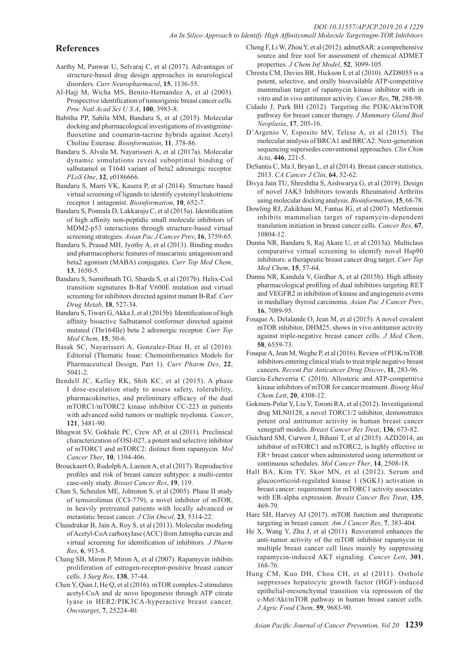# **References**

- Aarthy M, Panwar U, Selvaraj C, et al (2017). Advantages of structure-based drug design approaches in neurological disorders. *Curr Neuropharmacol*, **15**, 1136-55.
- Al-Hajj M, Wicha MS, Benito-Hernandez A, et al (2003). Prospective identification of tumorigenic breast cancer cells. *Proc Natl Acad Sci U S A*, **100**, 3983-8.
- Babitha PP, Sahila MM, Bandaru S, et al (2015). Molecular docking and pharmacological investigations of rivastigminefluoxetine and coumarin-tacrine hybrids against Acetyl Choline Esterase. *Bioinformation*, **11**, 378-86.
- Bandaru S, Alvala M, Nayarisseri A, et al (2017a). Molecular dynamic simulations reveal suboptimal binding of salbutamol in T164I variant of beta2 adrenergic receptor. *PLoS One*, **12**, e0186666.
- Bandaru S, Marri VK, Kasera P, et al (2014). Structure based virtual screening of ligands to identify cysteinyl leukotriene receptor 1 antagonist. *Bioinformation*, **10**, 652-7.
- Bandaru S, Ponnala D, Lakkaraju C, et al (2015a). Identification of high affinity non-peptidic small molecule inhibitors of MDM2-p53 interactions through structure-based virtual screening strategies. *Asian Pac J Cancer Prev*, **16**, 3759-65.
- Bandaru S, Prasad MH, Jyothy A, et al (2013). Binding modes and pharmacophoric features of muscarinic antagonism and beta2 agonism (MABA) conjugates. *Curr Top Med Chem*, **13**, 1650-5.
- Bandaru S, Sumithnath TG, Sharda S, et al (2017b). Helix-Coil transition signatures B-Raf V600E mutation and virtual screening for inhibitors directed against mutant B-Raf. *Curr Drug Metab*, **18**, 527-34.
- Bandaru S, Tiwari G, Akka J, et al (2015b). Identification of high affinity bioactive Salbutamol conformer directed against mutated (Thr164Ile) beta 2 adrenergic receptor. *Curr Top Med Chem*, **15**, 50-6.
- Basak SC, Nayarisseri A, Gonzalez-Diaz H, et al (2016). Editorial (Thematic Issue: Chemoinformatics Models for Pharmaceutical Design, Part 1). *Curr Pharm Des*, **22**, 5041-2.
- Bendell JC, Kelley RK, Shih KC, et al (2015). A phase I dose-escalation study to assess safety, tolerability, pharmacokinetics, and preliminary efficacy of the dual mTORC1/mTORC2 kinase inhibitor CC-223 in patients with advanced solid tumors or multiple myeloma. *Cancer*, **121**, 3481-90.
- Bhagwat SV, Gokhale PC, Crew AP, et al (2011). Preclinical characterization of OSI-027, a potent and selective inhibitor of mTORC1 and mTORC2: distinct from rapamycin*. Mol Cancer Ther*, **10**, 1394-406.
- Brouckaert O, Rudolph A, Laenen A, et al (2017). Reproductive profiles and risk of breast cancer subtypes: a multi-center case-only study. *Breast Cancer Res*, **19**, 119.
- Chan S, Scheulen ME, Johnston S, et al (2005). Phase II study of temsirolimus (CCI-779), a novel inhibitor of mTOR, in heavily pretreated patients with locally advanced or metastatic breast cancer. *J Clin Oncol*, **23**, 5314-22.
- Chandrakar B, Jain A, Roy S, et al (2013). Molecular modeling of Acetyl-CoA carboxylase (ACC) from Jatropha curcas and virtual screening for identification of inhibitors. *J Pharm Res*, **6**, 913-8.
- Chang SB, Miron P, Miron A, et al (2007). Rapamycin inhibits proliferation of estrogen-receptor-positive breast cancer cells. J *Surg Res*, **138**, 37-44.
- Chen Y, Qian J, He Q, et al (2016). mTOR complex-2 stimulates acetyl-CoA and de novo lipogenesis through ATP citrate lyase in HER2/PIK3CA-hyperactive breast cancer. *Oncotarget*, **7**, 25224-40.
- Cheng F, Li W, Zhou Y, et al (2012). admetSAR: a comprehensive source and free tool for assessment of chemical ADMET properties. *J Chem Inf Model*, **52**, 3099-105.
- Chresta CM, Davies BR, Hickson I, et al (2010). AZD8055 is a potent, selective, and orally bioavailable ATP-competitive mammalian target of rapamycin kinase inhibitor with in vitro and in vivo antitumor activity. *Cancer Res*, **70**, 288-98.
- Cidado J, Park BH (2012). Targeting the PI3K/Akt/mTOR pathway for breast cancer therapy. *J Mammary Gland Biol Neoplasia*, **17**, 205-16.
- D'Argenio V, Esposito MV, Telese A, et al (2015). The molecular analysis of BRCA1 and BRCA2: Next-generation sequencing supersedes conventional approaches. *Clin Chim Acta*, **446**, 221-5.
- DeSantis C, Ma J, Bryan L, et al (2014). Breast cancer statistics, 2013. *CA Cancer J Clin*, **64**, 52-62.
- Divya Jain TU, Shreshtha S, Aishwarya G, et al (2019). Design of novel JAK3 Inhibitors towards Rheumatoid Arthritis using molecular docking analysis. *Bioinformation*, **15**, 68-78.
- Dowling RJ, Zakikhani M, Fantus IG, et al (2007). Metformin inhibits mammalian target of rapamycin-dependent translation initiation in breast cancer cells. *Cancer Res*, **67**, 10804-12.
- Dunna NR, Bandaru S, Raj Akare U, et al (2015a). Multiclass comparative virtual screening to identify novel Hsp90 inhibitors: a therapeutic breast cancer drug target. *Curr Top Med Chem*, **15**, 57-64.
- Dunna NR, Kandula V, Girdhar A, et al (2015b). High affinity pharmacological profiling of dual inhibitors targeting RET and VEGFR2 in inhibition of kinase and angiogeneis events in medullary thyroid carcinoma. *Asian Pac J Cancer Prev*, **16**, 7089-95.
- Fouque A, Delalande O, Jean M, et al (2015). A novel covalent mTOR inhibitor, DHM25, shows in vivo antitumor activity against triple-negative breast cancer cells. *J Med Chem*, **58**, 6559-73.
- Fouque A, Jean M, Weghe P, et al (2016). Review of PI3K/mTOR inhibitors entering clinical trials to treat triple negative breast cancers. *Recent Pat Anticancer Drug Discov*, **11**, 283-96.
- Garcia-Echeverria C (2010). Allosteric and ATP-competitive kinase inhibitors of mTOR for cancer treatment. *Bioorg Med Chem Lett*, **20**, 4308-12.
- Gokmen-Polar Y, Liu Y, Toroni RA, et al (2012). Investigational drug MLN0128, a novel TORC1/2 inhibitor, demonstrates potent oral antitumor activity in human breast cancer xenograft models. *Breast Cancer Res Treat*, **136**, 673-82.
- Guichard SM, Curwen J, Bihani T, et al (2015). AZD2014, an inhibitor of mTORC1 and mTORC2, is highly effective in ER+ breast cancer when administered using intermittent or continuous schedules. *Mol Cancer Ther*, **14**, 2508-18.
- Hall BA, Kim TY, Skor MN, et al (2012). Serum and glucocorticoid-regulated kinase 1 (SGK1) activation in breast cancer: requirement for mTORC1 activity associates with ER-alpha expression. *Breast Cancer Res Treat*, **135**, 469-79.
- Hare SH, Harvey AJ (2017). mTOR function and therapeutic targeting in breast cancer. *Am J Cancer Res*, **7**, 383-404.
- He X, Wang Y, Zhu J, et al (2011). Resveratrol enhances the anti-tumor activity of the mTOR inhibitor rapamycin in multiple breast cancer cell lines mainly by suppressing rapamycin-induced AKT signaling. *Cancer Lett*, **301**, 168-76.
- Hung CM, Kuo DH, Chou CH, et al (2011). Osthole suppresses hepatocyte growth factor (HGF)-induced epithelial-mesenchymal transition via repression of the c-Met/Akt/mTOR pathway in human breast cancer cells. *J Agric Food Chem*, **59**, 9683-90.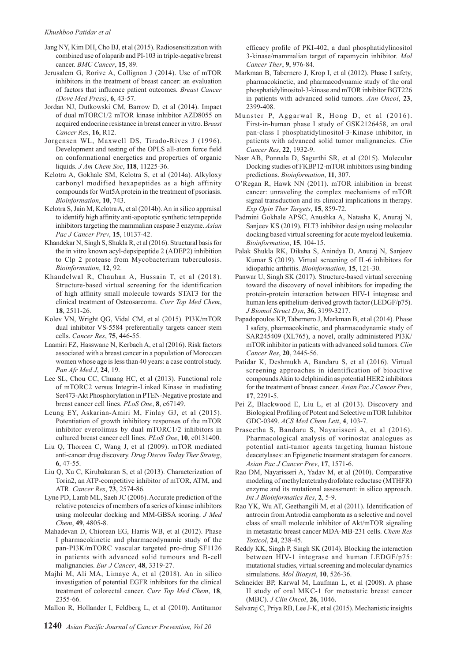- Jang NY, Kim DH, Cho BJ, et al (2015). Radiosensitization with combined use of olaparib and PI-103 in triple-negative breast cancer. *BMC Cancer*, **15**, 89.
- Jerusalem G, Rorive A, Collignon J (2014). Use of mTOR inhibitors in the treatment of breast cancer: an evaluation of factors that influence patient outcomes. *Breast Cancer (Dove Med Press)*, **6**, 43-57.
- Jordan NJ, Dutkowski CM, Barrow D, et al (2014). Impact of dual mTORC1/2 mTOR kinase inhibitor AZD8055 on acquired endocrine resistance in breast cancer in vitro. B*reast Cancer Res*, **16**, R12.
- Jorgensen WL, Maxwell DS, Tirado-Rives J (1996). Development and testing of the OPLS all-atom force field on conformational energetics and properties of organic liquids. *J Am Chem Soc*, **118**, 11225-36.
- Kelotra A, Gokhale SM, Kelotra S, et al (2014a). Alkyloxy carbonyl modified hexapeptides as a high affinity compounds for Wnt5A protein in the treatment of psoriasis. *Bioinformation*, **10**, 743.
- Kelotra S, Jain M, Kelotra A, et al (2014b). An in silico appraisal to identify high affinity anti-apoptotic synthetic tetrapeptide inhibitors targeting the mammalian caspase 3 enzyme. *Asian Pac J Cancer Prev*, **15**, 10137-42.
- Khandekar N, Singh S, Shukla R, et al (2016). Structural basis for the in vitro known acyl-depsipeptide 2 (ADEP2) inhibition to Clp 2 protease from Mycobacterium tuberculosis. *Bioinformation*, **12**, 92.
- Khandelwal R, Chauhan A, Hussain T, et al (2018). Structure-based virtual screening for the identification of high affinity small molecule towards STAT3 for the clinical treatment of Osteosarcoma. *Curr Top Med Chem*, **18**, 2511-26.
- Kolev VN, Wright QG, Vidal CM, et al (2015). PI3K/mTOR dual inhibitor VS-5584 preferentially targets cancer stem cells. *Cancer Res*, **75**, 446-55.
- Laamiri FZ, Hasswane N, Kerbach A, et al (2016). Risk factors associated with a breast cancer in a population of Moroccan women whose age is less than 40 years: a case control study. *Pan Afr Med J*, **24**, 19.
- Lee SL, Chou CC, Chuang HC, et al (2013). Functional role of mTORC2 versus Integrin-Linked Kinase in mediating Ser473-Akt Phosphorylation in PTEN-Negative prostate and breast cancer cell lines. *PLoS One*, **8**, e67149.
- Leung EY, Askarian-Amiri M, Finlay GJ, et al (2015). Potentiation of growth inhibitory responses of the mTOR inhibitor everolimus by dual mTORC1/2 inhibitors in cultured breast cancer cell lines. *PLoS One*, **10**, e0131400.
- Liu Q, Thoreen C, Wang J, et al (2009). mTOR mediated anti-cancer drug discovery. *Drug Discov Today Ther Strateg*, **6**, 47-55.
- Liu Q, Xu C, Kirubakaran S, et al (2013). Characterization of Torin2, an ATP-competitive inhibitor of mTOR, ATM, and ATR. *Cancer Res*, **73**, 2574-86.
- Lyne PD, Lamb ML, Saeh JC (2006). Accurate prediction of the relative potencies of members of a series of kinase inhibitors using molecular docking and MM-GBSA scoring. *J Med Chem*, **49**, 4805-8.
- Mahadevan D, Chiorean EG, Harris WB, et al (2012). Phase I pharmacokinetic and pharmacodynamic study of the pan-PI3K/mTORC vascular targeted pro-drug SF1126 in patients with advanced solid tumours and B-cell malignancies. *Eur J Cancer*, **48**, 3319-27.
- Majhi M, Ali MA, Limaye A, et al (2018). An in silico investigation of potential EGFR inhibitors for the clinical treatment of colorectal cancer. *Curr Top Med Chem*, **18**, 2355-66.
- Mallon R, Hollander I, Feldberg L, et al (2010). Antitumor

efficacy profile of PKI-402, a dual phosphatidylinositol 3-kinase/mammalian target of rapamycin inhibitor. *Mol Cancer Ther*, **9**, 976-84.

- Markman B, Tabernero J, Krop I, et al (2012). Phase I safety, pharmacokinetic, and pharmacodynamic study of the oral phosphatidylinositol-3-kinase and mTOR inhibitor BGT226 in patients with advanced solid tumors. *Ann Oncol*, **23**, 2399-408.
- Munster P, Aggarwal R, Hong D, et al (2016). First-in-human phase I study of GSK2126458, an oral pan-class I phosphatidylinositol-3-Kinase inhibitor, in patients with advanced solid tumor malignancies. *Clin Cancer Res*, **22**, 1932-9.
- Nasr AB, Ponnala D, Sagurthi SR, et al (2015). Molecular Docking studies of FKBP12-mTOR inhibitors using binding predictions. *Bioinformation*, **11**, 307.
- O'Regan R, Hawk NN (2011). mTOR inhibition in breast cancer: unraveling the complex mechanisms of mTOR signal transduction and its clinical implications in therapy. *Exp Opin Ther Targets*, **15**, 859-72.
- Padmini Gokhale APSC, Anushka A, Natasha K, Anuraj N, Sanjeev KS (2019). FLT3 inhibitor design using molecular docking based virtual screening for acute myeloid leukemia. *Bioinformation*, **15**, 104-15.
- Palak Shukla RK, Diksha S, Anindya D, Anuraj N, Sanjeev Kumar S (2019). Virtual screening of IL-6 inhibitors for idiopathic arthritis. *Bioinformation*, **15**, 121-30.
- Panwar U, Singh SK (2017). Structure-based virtual screening toward the discovery of novel inhibitors for impeding the protein-protein interaction between HIV-1 integrase and human lens epithelium-derived growth factor (LEDGF/p75). *J Biomol Struct Dyn*, **36**, 3199-3217.
- Papadopoulos KP, Tabernero J, Markman B, et al (2014). Phase I safety, pharmacokinetic, and pharmacodynamic study of SAR245409 (XL765), a novel, orally administered PI3K/ mTOR inhibitor in patients with advanced solid tumors. *Clin Cancer Res*, **20**, 2445-56.
- Patidar K, Deshmukh A, Bandaru S, et al (2016). Virtual screening approaches in identification of bioactive compounds Akin to delphinidin as potential HER2 inhibitors for the treatment of breast cancer. *Asian Pac J Cancer Prev*, **17**, 2291-5.
- Pei Z, Blackwood E, Liu L, et al (2013). Discovery and Biological Profiling of Potent and Selective mTOR Inhibitor GDC-0349. *ACS Med Chem Lett*, **4**, 103-7.
- Praseetha S, Bandaru S, Nayarisseri A, et al (2016). Pharmacological analysis of vorinostat analogues as potential anti-tumor agents targeting human histone deacetylases: an Epigenetic treatment stratagem for cancers. *Asian Pac J Cancer Prev*, **17**, 1571-6.
- Rao DM, Nayarisseri A, Yadav M, et al (2010). Comparative modeling of methylentetrahydrofolate reductase (MTHFR) enzyme and its mutational assessment: in silico approach. *Int J Bioinformatics Res*, **2**, 5-9.
- Rao YK, Wu AT, Geethangili M, et al (2011). Identification of antrocin from Antrodia camphorata as a selective and novel class of small molecule inhibitor of Akt/mTOR signaling in metastatic breast cancer MDA-MB-231 cells. *Chem Res Toxicol*, **24**, 238-45.
- Reddy KK, Singh P, Singh SK (2014). Blocking the interaction between HIV-1 integrase and human LEDGF/p75: mutational studies, virtual screening and molecular dynamics simulations. *Mol Biosyst*, **10**, 526-36.
- Schneider BP, Karwal M, Laufman L, et al (2008). A phase II study of oral MKC-1 for metastatic breast cancer (MBC). *J Clin Oncol*, **26**, 1046.
- Selvaraj C, Priya RB, Lee J-K, et al (2015). Mechanistic insights